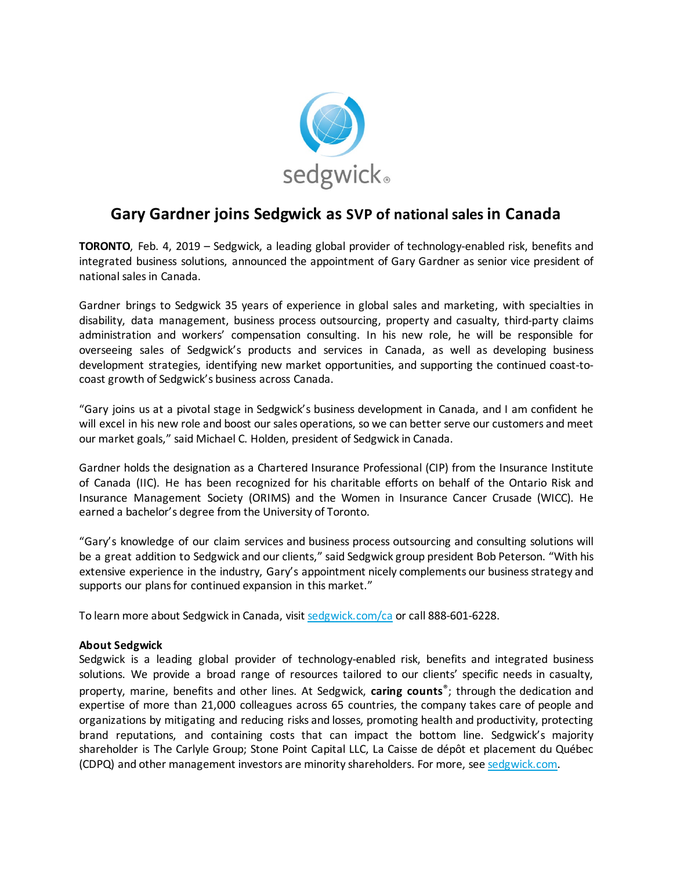

## **Gary Gardner joins Sedgwick as SVP of national sales in Canada**

**TORONTO**, Feb. 4, 2019 – Sedgwick, a leading global provider of technology-enabled risk, benefits and integrated business solutions, announced the appointment of Gary Gardner as senior vice president of national salesin Canada.

Gardner brings to Sedgwick 35 years of experience in global sales and marketing, with specialties in disability, data management, business process outsourcing, property and casualty, third-party claims administration and workers' compensation consulting. In his new role, he will be responsible for overseeing sales of Sedgwick's products and services in Canada, as well as developing business development strategies, identifying new market opportunities, and supporting the continued coast-tocoast growth of Sedgwick's business across Canada.

"Gary joins us at a pivotal stage in Sedgwick's business development in Canada, and I am confident he will excel in his new role and boost our sales operations, so we can better serve our customers and meet our market goals," said Michael C. Holden, president of Sedgwick in Canada.

Gardner holds the designation as a Chartered Insurance Professional (CIP) from the Insurance Institute of Canada (IIC). He has been recognized for his charitable efforts on behalf of the Ontario Risk and Insurance Management Society (ORIMS) and the Women in Insurance Cancer Crusade (WICC). He earned a bachelor's degree from the University of Toronto.

"Gary's knowledge of our claim services and business process outsourcing and consulting solutions will be a great addition to Sedgwick and our clients," said Sedgwick group president Bob Peterson. "With his extensive experience in the industry, Gary's appointment nicely complements our business strategy and supports our plans for continued expansion in this market."

To learn more about Sedgwick in Canada, visit [sedgwick.com/ca](https://www.sedgwick.com/ca) or call 888-601-6228.

## **About Sedgwick**

Sedgwick is a leading global provider of technology-enabled risk, benefits and integrated business solutions. We provide a broad range of resources tailored to our clients' specific needs in casualty, property, marine, benefits and other lines. At Sedgwick, **caring counts**®; through the dedication and expertise of more than 21,000 colleagues across 65 countries, the company takes care of people and organizations by mitigating and reducing risks and losses, promoting health and productivity, protecting brand reputations, and containing costs that can impact the bottom line. Sedgwick's majority shareholder is The Carlyle Group; Stone Point Capital LLC, La Caisse de dépôt et placement du Québec (CDPQ) and other management investors are minority shareholders. For more, se[e sedgwick.com.](https://www.sedgwick.com/)